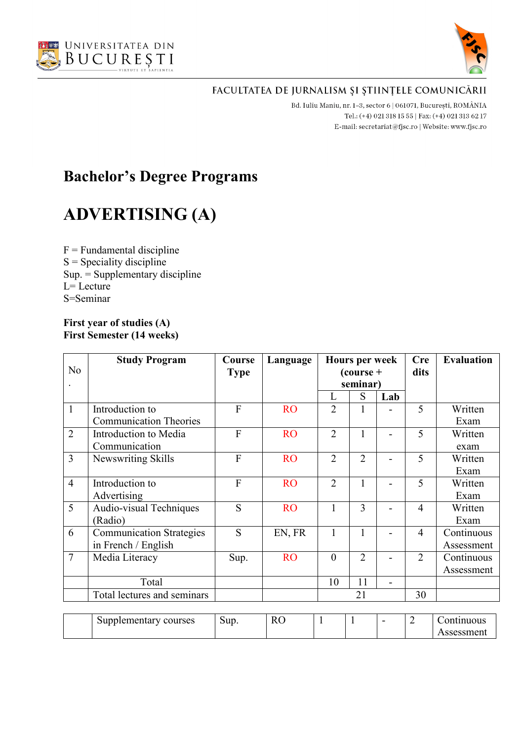



Bd. Iuliu Maniu, nr. 1-3, sector 6 | 061071, București, ROMÂNIA Tel.: (+4) 021 318 15 55 | Fax: (+4) 021 313 62 17 E-mail: secretariat@fjsc.ro | Website: www.fjsc.ro

# **Bachelor's Degree Programs**

# **ADVERTISING (A)**

 $F =$  Fundamental discipline  $S =$  Speciality discipline Sup. = Supplementary discipline  $L=$  Lecture S=Seminar

#### **First year of studies (A) First Semester (14 weeks)**

|                | <b>Study Program</b>            | Course          | Language       |                | <b>Hours per week</b>   |     | <b>Cre</b>     | <b>Evaluation</b> |
|----------------|---------------------------------|-----------------|----------------|----------------|-------------------------|-----|----------------|-------------------|
| No             |                                 | <b>Type</b>     |                |                | $\frac{1}{2}$ (course + |     | dits           |                   |
|                |                                 |                 |                |                | seminar)                |     |                |                   |
|                |                                 |                 |                | L              | S                       | Lab |                |                   |
| $\mathbf{1}$   | Introduction to                 | $\overline{F}$  | <b>RO</b>      | $\overline{2}$ |                         |     | 5              | Written           |
|                | <b>Communication Theories</b>   |                 |                |                |                         |     |                | Exam              |
| $\overline{2}$ | Introduction to Media           | $\overline{F}$  | <b>RO</b>      | $\overline{2}$ |                         |     | 5              | Written           |
|                | Communication                   |                 |                |                |                         |     |                | exam              |
| 3              | Newswriting Skills              | F               | <b>RO</b>      | $\overline{2}$ | $\overline{2}$          |     | 5              | Written           |
|                |                                 |                 |                |                |                         |     |                | Exam              |
| $\overline{4}$ | Introduction to                 | $\overline{F}$  | <b>RO</b>      | $\overline{2}$ | 1                       |     | 5              | Written           |
|                | Advertising                     |                 |                |                |                         |     |                | Exam              |
| 5              | Audio-visual Techniques         | S               | <b>RO</b>      | 1              | 3                       |     | $\overline{4}$ | Written           |
|                | (Radio)                         |                 |                |                |                         |     |                | Exam              |
| 6              | <b>Communication Strategies</b> | S               | EN, FR         | 1              |                         |     | $\overline{4}$ | Continuous        |
|                | in French / English             |                 |                |                |                         |     |                | Assessment        |
| $\overline{7}$ | Media Literacy                  | Sup.            | <b>RO</b>      | $\overline{0}$ | $\overline{2}$          |     | $\overline{2}$ | Continuous        |
|                |                                 |                 |                |                |                         |     |                | Assessment        |
|                | Total                           |                 |                | 10             | 11                      |     |                |                   |
|                | Total lectures and seminars     |                 |                |                | 21                      |     | 30             |                   |
|                |                                 |                 |                |                |                         |     |                |                   |
|                | Supplementary courses           | S <sub>11</sub> | R <sub>O</sub> |                |                         |     | $\mathcal{D}$  | Continuous        |

| courses<br>Supplementary<br>. . | $\sim$<br>Sup. | T.<br>IJ<br>в.<br>170 | <b>.</b> |  | - | nnuous<br>$\sim$ 10 $\sim$ |
|---------------------------------|----------------|-----------------------|----------|--|---|----------------------------|
|                                 |                |                       |          |  |   | ssment<br>יכת              |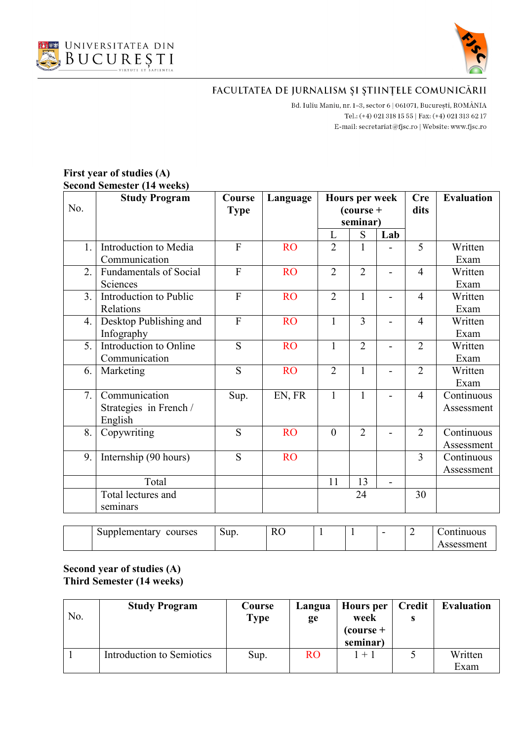



Bd. Iuliu Maniu, nr. 1-3, sector 6 | 061071, București, ROMÂNIA Tel.: (+4) 021 318 15 55 | Fax: (+4) 021 313 62 17 E-mail:  $\texttt{secretariat@f}$ isc.ro | Website: www.fjsc.ro

#### **First year of studies (A) Second Semester (14 weeks)**

| No. | <b>Study Program</b>                               | Course<br><b>Type</b> | Language  | <b>Hours per week</b><br>$\frac{1}{2}$ (course +<br>seminar) |                |                          | <b>Cre</b><br>dits | <b>Evaluation</b>        |
|-----|----------------------------------------------------|-----------------------|-----------|--------------------------------------------------------------|----------------|--------------------------|--------------------|--------------------------|
|     |                                                    |                       |           | L                                                            | S              | Lab                      |                    |                          |
| 1.  | Introduction to Media<br>Communication             | $\overline{F}$        | <b>RO</b> | $\overline{2}$                                               | 1              |                          | 5                  | Written<br>Exam          |
| 2.  | <b>Fundamentals of Social</b><br>Sciences          | $\overline{F}$        | <b>RO</b> | $\overline{2}$                                               | $\overline{2}$ | $\overline{\phantom{0}}$ | $\overline{4}$     | Written<br>Exam          |
| 3.  | Introduction to Public<br>Relations                | $\overline{F}$        | <b>RO</b> | $\overline{2}$                                               | $\mathbf{1}$   | Ξ.                       | $\overline{4}$     | Written<br>Exam          |
| 4.  | Desktop Publishing and<br>Infography               | $\overline{F}$        | <b>RO</b> | $\mathbf{1}$                                                 | $\overline{3}$ |                          | $\overline{4}$     | Written<br>Exam          |
| 5.  | Introduction to Online<br>Communication            | S                     | <b>RO</b> | $\mathbf{1}$                                                 | $\overline{2}$ | $\overline{a}$           | $\overline{2}$     | Written<br>Exam          |
| 6.  | Marketing                                          | S                     | <b>RO</b> | $\overline{2}$                                               | $\mathbf{1}$   |                          | $\overline{2}$     | Written<br>Exam          |
| 7.  | Communication<br>Strategies in French /<br>English | Sup.                  | EN, FR    | $\mathbf{1}$                                                 | 1              | $\overline{a}$           | $\overline{4}$     | Continuous<br>Assessment |
| 8.  | Copywriting                                        | S                     | <b>RO</b> | $\overline{0}$                                               | $\overline{2}$ |                          | $\overline{2}$     | Continuous<br>Assessment |
| 9.  | Internship (90 hours)                              | S                     | <b>RO</b> |                                                              |                |                          | 3                  | Continuous<br>Assessment |
|     | Total                                              |                       |           | 11                                                           | 13             | $\overline{\phantom{a}}$ |                    |                          |
|     | Total lectures and<br>seminars                     |                       |           |                                                              | 24             |                          | 30                 |                          |

| -<br>courses<br>Supplementary | Sup. | $\mathbf{r}$<br>ĸ<br>$\sim$<br>- |  | - | muous<br>n۳                  |
|-------------------------------|------|----------------------------------|--|---|------------------------------|
|                               |      |                                  |  |   | sessment <sup>.</sup><br>A D |

#### **Second year of studies (A) Third Semester (14 weeks)**

| No. | <b>Study Program</b>      | Course<br>Type | Langua<br>ge | Hours per<br>week<br>$\frac{1}{2}$ (course +<br>seminar) | <b>Credit</b> | <b>Evaluation</b> |
|-----|---------------------------|----------------|--------------|----------------------------------------------------------|---------------|-------------------|
|     | Introduction to Semiotics | Sup.           | <b>RO</b>    | $1 + 1$                                                  |               | Written<br>Exam   |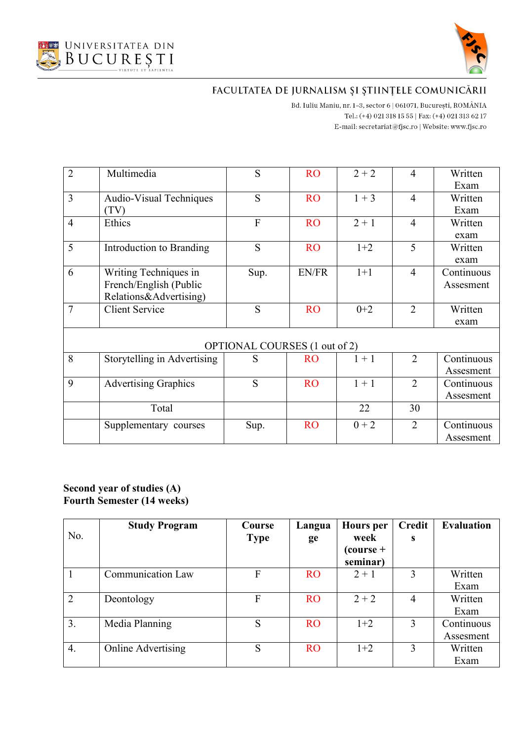



Bd. Iuliu Maniu, nr. 1-3, sector 6 | 061071, București, ROMÂNIA Tel.: (+4) 021 318 15 55 | Fax: (+4) 021 313 62 17 E-mail:  $\texttt{secretariat@f}$ isc.ro | Website: www.fjsc.ro

| $\overline{2}$ | Multimedia                  | S                             | <b>RO</b> | $2 + 2$ | $\overline{4}$ | Written    |
|----------------|-----------------------------|-------------------------------|-----------|---------|----------------|------------|
|                |                             |                               |           |         |                | Exam       |
| $\overline{3}$ | Audio-Visual Techniques     | S                             | <b>RO</b> | $1 + 3$ | $\overline{4}$ | Written    |
|                | (TV)                        |                               |           |         |                | Exam       |
| $\overline{4}$ | Ethics                      | $\overline{F}$                | <b>RO</b> | $2 + 1$ | $\overline{4}$ | Written    |
|                |                             |                               |           |         |                | exam       |
| 5              | Introduction to Branding    | S                             | <b>RO</b> | $1+2$   | 5              | Written    |
|                |                             |                               |           |         |                | exam       |
| 6              | Writing Techniques in       | Sup.                          | EN/FR     | $1+1$   | $\overline{4}$ | Continuous |
|                | French/English (Public      |                               |           |         |                | Assesment  |
|                | Relations&Advertising)      |                               |           |         |                |            |
| $\overline{7}$ | <b>Client Service</b>       | S                             | <b>RO</b> | $0+2$   | $\overline{2}$ | Written    |
|                |                             |                               |           |         |                | exam       |
|                |                             |                               |           |         |                |            |
|                |                             | OPTIONAL COURSES (1 out of 2) |           |         |                |            |
| 8              | Storytelling in Advertising | S                             | <b>RO</b> | $1 + 1$ | $\overline{2}$ | Continuous |
|                |                             |                               |           |         |                | Assesment  |
| 9              | <b>Advertising Graphics</b> | S                             | <b>RO</b> | $1 + 1$ | $\overline{2}$ | Continuous |
|                |                             |                               |           |         |                | Assesment  |
|                | Total                       |                               |           | 22      | 30             |            |
|                | Supplementary courses       | Sup.                          | <b>RO</b> | $0 + 2$ | $\overline{2}$ | Continuous |
|                |                             |                               |           |         |                | Assesment  |

#### **Second year of studies (A) Fourth Semester (14 weeks)**

|                | <b>Study Program</b>     | Course      | Langua    | <b>Hours</b> per        | <b>Credit</b>  | <b>Evaluation</b> |
|----------------|--------------------------|-------------|-----------|-------------------------|----------------|-------------------|
| No.            |                          | <b>Type</b> | ge        | week                    | S              |                   |
|                |                          |             |           | $\frac{1}{2}$ (course + |                |                   |
|                |                          |             |           | seminar)                |                |                   |
|                | <b>Communication Law</b> | F           | <b>RO</b> | $2 + 1$                 | 3              | Written           |
|                |                          |             |           |                         |                | Exam              |
| $\overline{2}$ | Deontology               | F           | <b>RO</b> | $2 + 2$                 | $\overline{4}$ | Written           |
|                |                          |             |           |                         |                | Exam              |
| 3.             | Media Planning           | S           | <b>RO</b> | $1+2$                   | 3              | Continuous        |
|                |                          |             |           |                         |                | Assesment         |
| 4.             | Online Advertising       | S           | <b>RO</b> | $1+2$                   | 3              | Written           |
|                |                          |             |           |                         |                | Exam              |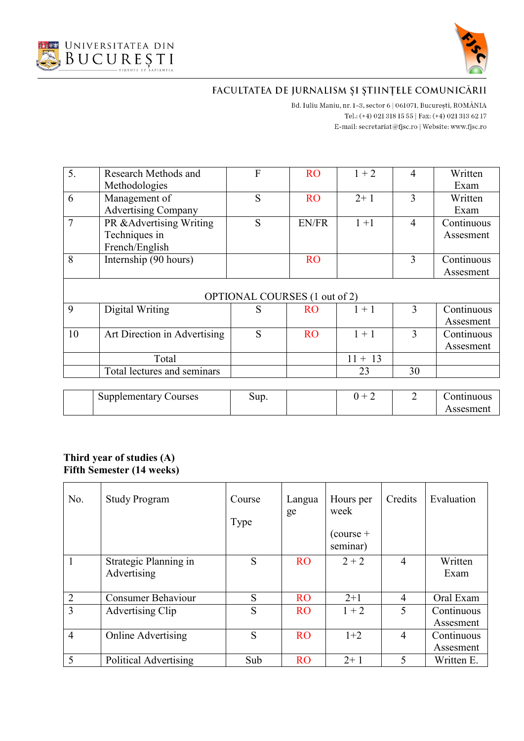



Bd. Iuliu Maniu, nr. 1-3, sector 6 | 061071, București, ROMÂNIA Tel.: (+4) 021 318 15 55 | Fax: (+4) 021 313 62 17 E-mail:  $\texttt{secretariat@f}$ isc.ro | Website: www.fjsc.ro

| 5.             | Research Methods and          | F    | <b>RO</b> | $1 + 2$   | $\overline{4}$ | Written    |  |  |  |
|----------------|-------------------------------|------|-----------|-----------|----------------|------------|--|--|--|
|                | Methodologies                 |      |           |           |                | Exam       |  |  |  |
| 6              | Management of                 | S    | <b>RO</b> | $2+1$     | 3              | Written    |  |  |  |
|                | <b>Advertising Company</b>    |      |           |           |                | Exam       |  |  |  |
| $\overline{7}$ | PR & Advertising Writing      | S    | EN/FR     | $1 + 1$   | $\overline{4}$ | Continuous |  |  |  |
|                | Techniques in                 |      |           |           |                | Assesment  |  |  |  |
|                | French/English                |      |           |           |                |            |  |  |  |
| 8              | Internship (90 hours)         |      | <b>RO</b> |           | 3              | Continuous |  |  |  |
|                |                               |      |           |           |                | Assesment  |  |  |  |
|                | OPTIONAL COURSES (1 out of 2) |      |           |           |                |            |  |  |  |
| 9              | Digital Writing               | S    | <b>RO</b> | $1 + 1$   | 3              | Continuous |  |  |  |
|                |                               |      |           |           |                | Assesment  |  |  |  |
| 10             | Art Direction in Advertising  | S    | <b>RO</b> | $1 + 1$   | 3              | Continuous |  |  |  |
|                |                               |      |           |           |                | Assesment  |  |  |  |
|                | Total                         |      |           | $11 + 13$ |                |            |  |  |  |
|                | Total lectures and seminars   |      |           | 23        | 30             |            |  |  |  |
|                |                               |      |           |           |                |            |  |  |  |
|                | <b>Supplementary Courses</b>  | Sup. |           | $0 + 2$   | $\overline{2}$ | Continuous |  |  |  |
|                |                               |      |           |           |                | Assesment  |  |  |  |

#### **Third year of studies (A) Fifth Semester (14 weeks)**

| No.            | <b>Study Program</b>                 | Course<br>Type | Langua<br>ge | Hours per<br>week<br>$\text{(course +}$<br>seminar) | Credits        | Evaluation              |
|----------------|--------------------------------------|----------------|--------------|-----------------------------------------------------|----------------|-------------------------|
| $\mathbf{1}$   | Strategic Planning in<br>Advertising | S              | <b>RO</b>    | $2 + 2$                                             | 4              | Written<br>Exam         |
| $\overline{2}$ | <b>Consumer Behaviour</b>            | S              | <b>RO</b>    | $2+1$                                               | $\overline{4}$ | Oral Exam               |
| 3              | Advertising Clip                     | S              | <b>RO</b>    | $1 + 2$                                             | 5              | Continuous<br>Assesment |
| $\overline{4}$ | <b>Online Advertising</b>            | S              | <b>RO</b>    | $1+2$                                               | $\overline{4}$ | Continuous<br>Assesment |
| 5              | Political Advertising                | Sub            | <b>RO</b>    | $2+1$                                               | 5              | Written E.              |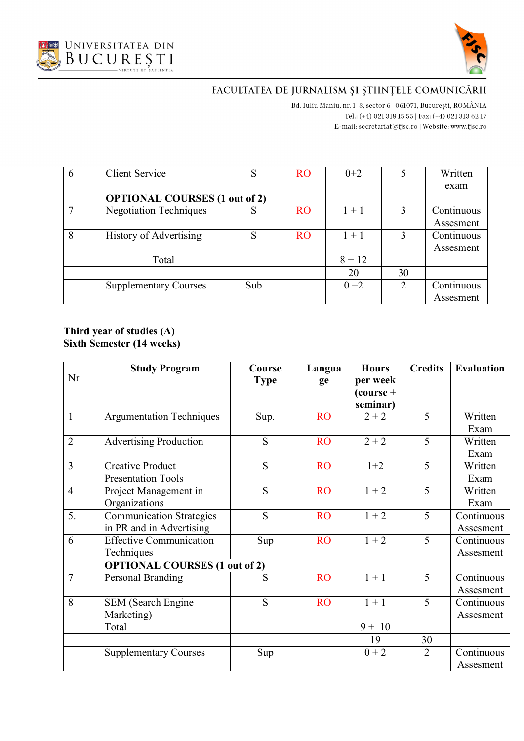



Bd. Iuliu Maniu, nr. 1-3, sector 6 | 061071, București, ROMÂNIA Tel.: (+4) 021 318 15 55 | Fax: (+4) 021 313 62 17 E-mail:  $\texttt{secretariat@f}$ isc.ro | Website: www.fjsc.ro

| $6\phantom{.}6$ | <b>Client Service</b>         |                                      | <b>RO</b> | $0+2$    |    | Written    |  |  |
|-----------------|-------------------------------|--------------------------------------|-----------|----------|----|------------|--|--|
|                 |                               |                                      |           |          |    | exam       |  |  |
|                 |                               | <b>OPTIONAL COURSES (1 out of 2)</b> |           |          |    |            |  |  |
| 7               | <b>Negotiation Techniques</b> |                                      | <b>RO</b> | $1 + 1$  | 3  | Continuous |  |  |
|                 |                               |                                      |           |          |    | Assesment  |  |  |
| 8               | History of Advertising        | S                                    | <b>RO</b> | $1 + 1$  |    | Continuous |  |  |
|                 |                               |                                      |           |          |    | Assesment  |  |  |
|                 | Total                         |                                      |           | $8 + 12$ |    |            |  |  |
|                 |                               |                                      |           | 20       | 30 |            |  |  |
|                 | <b>Supplementary Courses</b>  | Sub                                  |           | $0 + 2$  | 2  | Continuous |  |  |
|                 |                               |                                      |           |          |    | Assesment  |  |  |

#### **Third year of studies (A) Sixth Semester (14 weeks)**

|                | <b>Study Program</b>                 | Course      | Langua    | <b>Hours</b>            | <b>Credits</b> | <b>Evaluation</b> |
|----------------|--------------------------------------|-------------|-----------|-------------------------|----------------|-------------------|
| Nr             |                                      | <b>Type</b> | ge        | per week                |                |                   |
|                |                                      |             |           | $\frac{1}{2}$ (course + |                |                   |
|                |                                      |             |           | seminar)                |                |                   |
| $\mathbf{1}$   | <b>Argumentation Techniques</b>      | Sup.        | <b>RO</b> | $2 + 2$                 | 5              | Written           |
|                |                                      |             |           |                         |                | Exam              |
| $\overline{2}$ | <b>Advertising Production</b>        | S           | <b>RO</b> | $2 + 2$                 | 5              | Written           |
|                |                                      |             |           |                         |                | Exam              |
| 3              | <b>Creative Product</b>              | S           | <b>RO</b> | $1+2$                   | 5              | Written           |
|                | <b>Presentation Tools</b>            |             |           |                         |                | Exam              |
| $\overline{4}$ | Project Management in                | S           | <b>RO</b> | $1 + 2$                 | 5              | Written           |
|                | Organizations                        |             |           |                         |                | Exam              |
| 5.             | <b>Communication Strategies</b>      | S           | <b>RO</b> | $1 + 2$                 | 5              | Continuous        |
|                | in PR and in Advertising             |             |           |                         |                | Assesment         |
| 6              | <b>Effective Communication</b>       | Sup         | <b>RO</b> | $1 + 2$                 | 5              | Continuous        |
|                | Techniques                           |             |           |                         |                | Assesment         |
|                | <b>OPTIONAL COURSES (1 out of 2)</b> |             |           |                         |                |                   |
| $\overline{7}$ | Personal Branding                    | S           | <b>RO</b> | $1 + 1$                 | 5              | Continuous        |
|                |                                      |             |           |                         |                | Assesment         |
| 8              | <b>SEM</b> (Search Engine            | S           | <b>RO</b> | $1 + 1$                 | 5              | Continuous        |
|                | Marketing)                           |             |           |                         |                | Assesment         |
|                | Total                                |             |           | $9 + 10$                |                |                   |
|                |                                      |             |           | 19                      | 30             |                   |
|                | <b>Supplementary Courses</b>         | Sup         |           | $0 + 2$                 | $\overline{2}$ | Continuous        |
|                |                                      |             |           |                         |                | Assesment         |